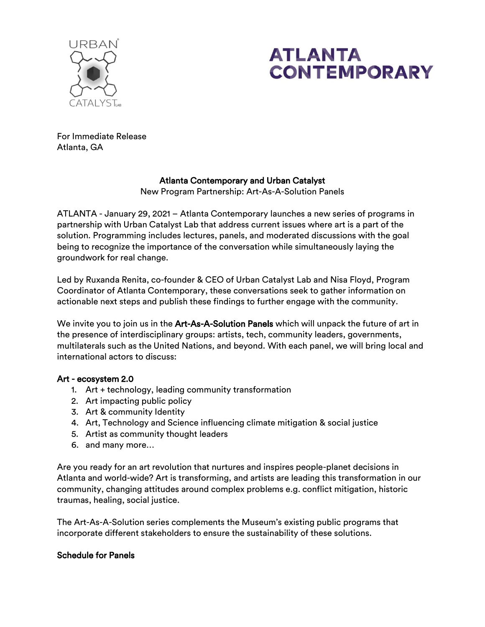



For Immediate Release Atlanta, GA

## Atlanta Contemporary and Urban Catalyst

New Program Partnership: Art-As-A-Solution Panels

ATLANTA - January 29, 2021 – Atlanta Contemporary launches a new series of programs in partnership with Urban Catalyst Lab that address current issues where art is a part of the solution. Programming includes lectures, panels, and moderated discussions with the goal being to recognize the importance of the conversation while simultaneously laying the groundwork for real change.

Led by Ruxanda Renita, co-founder & CEO of Urban Catalyst Lab and Nisa Floyd, Program Coordinator of Atlanta Contemporary, these conversations seek to gather information on actionable next steps and publish these findings to further engage with the community.

We invite you to join us in the Art-As-A-Solution Panels which will unpack the future of art in the presence of interdisciplinary groups: artists, tech, community leaders, governments, multilaterals such as the United Nations, and beyond. With each panel, we will bring local and international actors to discuss:

## Art - ecosystem 2.0

- 1. Art + technology, leading community transformation
- 2. Art impacting public policy
- 3. Art & community Identity
- 4. Art, Technology and Science influencing climate mitigation & social justice
- 5. Artist as community thought leaders
- 6. and many more…

Are you ready for an art revolution that nurtures and inspires people-planet decisions in Atlanta and world-wide? Art is transforming, and artists are leading this transformation in our community, changing attitudes around complex problems e.g. conflict mitigation, historic traumas, healing, social justice.

The Art-As-A-Solution series complements the Museum's existing public programs that incorporate different stakeholders to ensure the sustainability of these solutions.

## Schedule for Panels